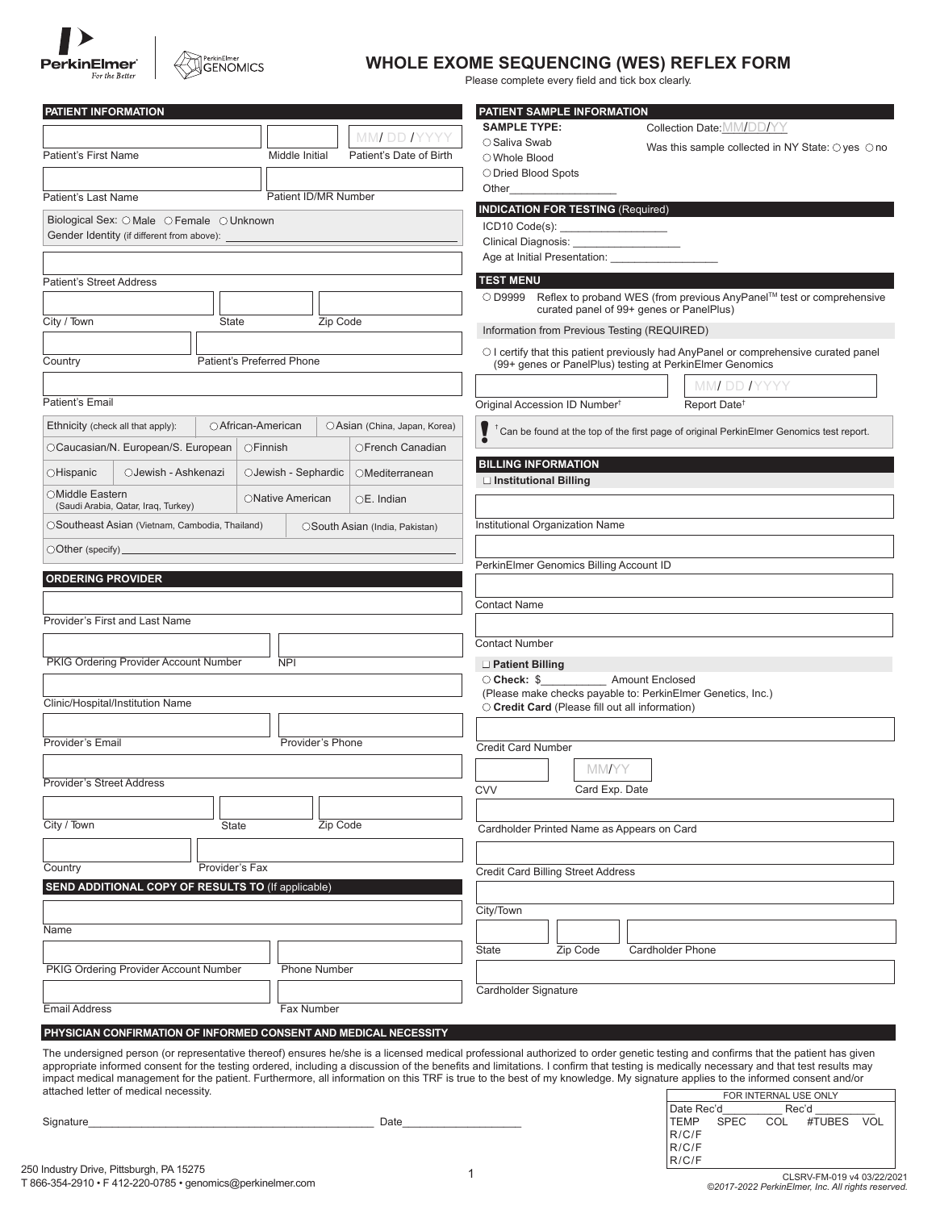

# PerkinElmer<br>GENOMICS

## **WHOLE EXOME SEQUENCING (WES) REFLEX FORM**

Please complete every field and tick box clearly.

| PATIENT INFORMATION                                                                                                                                                                                                                                                                                                                                                       |                                |                                 | PATIENT SAMPLE INFORMATION                                                                                                                             |                         |                                                                                         |
|---------------------------------------------------------------------------------------------------------------------------------------------------------------------------------------------------------------------------------------------------------------------------------------------------------------------------------------------------------------------------|--------------------------------|---------------------------------|--------------------------------------------------------------------------------------------------------------------------------------------------------|-------------------------|-----------------------------------------------------------------------------------------|
|                                                                                                                                                                                                                                                                                                                                                                           |                                | MMI DD IYYYY                    | <b>SAMPLE TYPE:</b>                                                                                                                                    |                         | Collection Date: MM/DD/YY                                                               |
| <b>Patient's First Name</b>                                                                                                                                                                                                                                                                                                                                               | Middle Initial                 | Patient's Date of Birth         | ○ Saliva Swab<br>○ Whole Blood                                                                                                                         |                         | Was this sample collected in NY State: $\bigcirc$ yes $\bigcirc$ no                     |
|                                                                                                                                                                                                                                                                                                                                                                           |                                |                                 | O Dried Blood Spots                                                                                                                                    |                         |                                                                                         |
| Patient ID/MR Number<br><b>Patient's Last Name</b>                                                                                                                                                                                                                                                                                                                        |                                |                                 | Other                                                                                                                                                  |                         |                                                                                         |
| Biological Sex: O Male O Female O Unknown                                                                                                                                                                                                                                                                                                                                 |                                |                                 | <b>INDICATION FOR TESTING (Required)</b>                                                                                                               |                         |                                                                                         |
| Gender Identity (if different from above):                                                                                                                                                                                                                                                                                                                                |                                |                                 |                                                                                                                                                        |                         |                                                                                         |
|                                                                                                                                                                                                                                                                                                                                                                           |                                |                                 |                                                                                                                                                        |                         |                                                                                         |
| <b>Patient's Street Address</b>                                                                                                                                                                                                                                                                                                                                           |                                |                                 | <b>TEST MENU</b>                                                                                                                                       |                         |                                                                                         |
|                                                                                                                                                                                                                                                                                                                                                                           |                                |                                 | $\bigcirc$ D9999 Reflex to proband WES (from previous AnyPanel <sup>™</sup> test or comprehensive                                                      |                         |                                                                                         |
| City / Town<br><b>State</b>                                                                                                                                                                                                                                                                                                                                               |                                | Zip Code                        | curated panel of 99+ genes or PanelPlus)                                                                                                               |                         |                                                                                         |
|                                                                                                                                                                                                                                                                                                                                                                           |                                |                                 | Information from Previous Testing (REQUIRED)                                                                                                           |                         |                                                                                         |
| Patient's Preferred Phone<br>Country                                                                                                                                                                                                                                                                                                                                      |                                |                                 | $\circ$ I certify that this patient previously had AnyPanel or comprehensive curated panel<br>(99+ genes or PanelPlus) testing at PerkinElmer Genomics |                         |                                                                                         |
|                                                                                                                                                                                                                                                                                                                                                                           |                                |                                 |                                                                                                                                                        |                         |                                                                                         |
| Patient's Email                                                                                                                                                                                                                                                                                                                                                           |                                |                                 | Original Accession ID Number <sup>†</sup>                                                                                                              |                         | MM DD IYYYY<br>Report Date <sup>+</sup>                                                 |
|                                                                                                                                                                                                                                                                                                                                                                           |                                |                                 |                                                                                                                                                        |                         |                                                                                         |
| Ethnicity (check all that apply):                                                                                                                                                                                                                                                                                                                                         | ○ African-American             | OAsian (China, Japan, Korea)    |                                                                                                                                                        |                         | Can be found at the top of the first page of original PerkinElmer Genomics test report. |
| OCaucasian/N. European/S. European<br>$\bigcirc$ Finnish<br>OFrench Canadian                                                                                                                                                                                                                                                                                              |                                |                                 | <b>BILLING INFORMATION</b>                                                                                                                             |                         |                                                                                         |
| OJewish - Ashkenazi<br>OJewish - Sephardic<br>○Hispanic<br>OMediterranean                                                                                                                                                                                                                                                                                                 |                                |                                 | $\Box$ Institutional Billing                                                                                                                           |                         |                                                                                         |
| ○Middle Eastern                                                                                                                                                                                                                                                                                                                                                           | ONative American               | $OE.$ Indian                    |                                                                                                                                                        |                         |                                                                                         |
| (Saudi Arabia, Qatar, Iraq, Turkey)                                                                                                                                                                                                                                                                                                                                       |                                |                                 |                                                                                                                                                        |                         |                                                                                         |
| OSoutheast Asian (Vietnam, Cambodia, Thailand)                                                                                                                                                                                                                                                                                                                            | OSouth Asian (India, Pakistan) | Institutional Organization Name |                                                                                                                                                        |                         |                                                                                         |
| $\bigcirc$ Other (specify) $\_$                                                                                                                                                                                                                                                                                                                                           |                                |                                 | PerkinElmer Genomics Billing Account ID                                                                                                                |                         |                                                                                         |
| <b>ORDERING PROVIDER</b>                                                                                                                                                                                                                                                                                                                                                  |                                |                                 |                                                                                                                                                        |                         |                                                                                         |
|                                                                                                                                                                                                                                                                                                                                                                           |                                |                                 | <b>Contact Name</b>                                                                                                                                    |                         |                                                                                         |
| Provider's First and Last Name                                                                                                                                                                                                                                                                                                                                            |                                |                                 |                                                                                                                                                        |                         |                                                                                         |
|                                                                                                                                                                                                                                                                                                                                                                           |                                |                                 | <b>Contact Number</b>                                                                                                                                  |                         |                                                                                         |
| PKIG Ordering Provider Account Number<br><b>NPI</b>                                                                                                                                                                                                                                                                                                                       |                                |                                 | $\Box$ Patient Billing                                                                                                                                 |                         |                                                                                         |
|                                                                                                                                                                                                                                                                                                                                                                           |                                |                                 | ○ Check: \$ Amount Enclosed                                                                                                                            |                         |                                                                                         |
| Clinic/Hospital/Institution Name                                                                                                                                                                                                                                                                                                                                          |                                |                                 | (Please make checks payable to: PerkinElmer Genetics, Inc.)<br>$\circ$ Credit Card (Please fill out all information)                                   |                         |                                                                                         |
|                                                                                                                                                                                                                                                                                                                                                                           |                                |                                 |                                                                                                                                                        |                         |                                                                                         |
| Provider's Email                                                                                                                                                                                                                                                                                                                                                          | Provider's Phone               |                                 |                                                                                                                                                        |                         |                                                                                         |
|                                                                                                                                                                                                                                                                                                                                                                           |                                |                                 | <b>Credit Card Number</b>                                                                                                                              |                         |                                                                                         |
| Provider's Street Address                                                                                                                                                                                                                                                                                                                                                 |                                |                                 | <b>MM/YY</b>                                                                                                                                           |                         |                                                                                         |
|                                                                                                                                                                                                                                                                                                                                                                           |                                |                                 | Card Exp. Date<br><b>CVV</b>                                                                                                                           |                         |                                                                                         |
| City / Town<br>Zip Code<br><b>State</b>                                                                                                                                                                                                                                                                                                                                   |                                |                                 | Cardholder Printed Name as Appears on Card                                                                                                             |                         |                                                                                         |
|                                                                                                                                                                                                                                                                                                                                                                           |                                |                                 |                                                                                                                                                        |                         |                                                                                         |
| Provider's Fax<br>Country                                                                                                                                                                                                                                                                                                                                                 |                                |                                 |                                                                                                                                                        |                         |                                                                                         |
| SEND ADDITIONAL COPY OF RESULTS TO (If applicable)                                                                                                                                                                                                                                                                                                                        |                                |                                 | Credit Card Billing Street Address                                                                                                                     |                         |                                                                                         |
|                                                                                                                                                                                                                                                                                                                                                                           |                                |                                 |                                                                                                                                                        |                         |                                                                                         |
| Name                                                                                                                                                                                                                                                                                                                                                                      |                                |                                 | City/Town                                                                                                                                              |                         |                                                                                         |
|                                                                                                                                                                                                                                                                                                                                                                           |                                |                                 | Zip Code<br>State                                                                                                                                      | <b>Cardholder Phone</b> |                                                                                         |
| PKIG Ordering Provider Account Number                                                                                                                                                                                                                                                                                                                                     | <b>Phone Number</b>            |                                 |                                                                                                                                                        |                         |                                                                                         |
|                                                                                                                                                                                                                                                                                                                                                                           |                                |                                 | Cardholder Signature                                                                                                                                   |                         |                                                                                         |
| <b>Email Address</b>                                                                                                                                                                                                                                                                                                                                                      | Fax Number                     |                                 |                                                                                                                                                        |                         |                                                                                         |
| PHYSICIAN CONFIRMATION OF INFORMED CONSENT AND MEDICAL NECESSITY                                                                                                                                                                                                                                                                                                          |                                |                                 |                                                                                                                                                        |                         |                                                                                         |
|                                                                                                                                                                                                                                                                                                                                                                           |                                |                                 |                                                                                                                                                        |                         |                                                                                         |
| The undersigned person (or representative thereof) ensures he/she is a licensed medical professional authorized to order genetic testing and confirms that the patient has given<br>appropriate informed consent for the testing ordered, including a discussion of the benefits and limitations. I confirm that testing is medically necessary and that test results may |                                |                                 |                                                                                                                                                        |                         |                                                                                         |
| impact medical management for the patient. Furthermore, all information on this TRF is true to the best of my knowledge. My signature applies to the informed consent and/or<br>attached letter of medical necessity.                                                                                                                                                     |                                |                                 |                                                                                                                                                        |                         |                                                                                         |
|                                                                                                                                                                                                                                                                                                                                                                           |                                |                                 |                                                                                                                                                        |                         | FOR INTERNAL USE ONLY<br>Rec'd<br>Date Rec'd                                            |
| Signature_                                                                                                                                                                                                                                                                                                                                                                |                                | Date                            |                                                                                                                                                        |                         | COL<br>#TUBES VOL<br>TEMP<br><b>SPEC</b>                                                |
|                                                                                                                                                                                                                                                                                                                                                                           |                                |                                 |                                                                                                                                                        |                         | R/C/F<br>R/C/F                                                                          |
|                                                                                                                                                                                                                                                                                                                                                                           |                                |                                 |                                                                                                                                                        |                         | R/C/F                                                                                   |